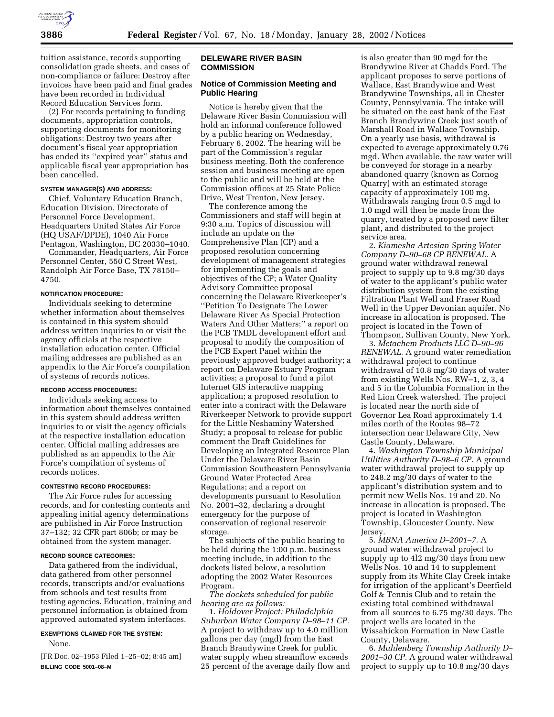

tuition assistance, records supporting consolidation grade sheets, and cases of non-compliance or failure: Destroy after invoices have been paid and final grades have been recorded in Individual Record Education Services form.

(2) For records pertaining to funding documents, appropriation controls, supporting documents for monitoring obligations: Destroy two years after document's fiscal year appropriation has ended its ''expired year'' status and applicable fiscal year appropriation has been cancelled.

## **SYSTEM MANAGER(S) AND ADDRESS:**

Chief, Voluntary Education Branch, Education Division, Directorate of Personnel Force Development, Headquarters United States Air Force (HQ USAF/DPDE), 1040 Air Force Pentagon, Washington, DC 20330–1040.

Commander, Headquarters, Air Force Personnel Center, 550 C Street West, Randolph Air Force Base, TX 78150– 4750.

### **NOTIFICATION PROCEDURE:**

Individuals seeking to determine whether information about themselves is contained in this system should address written inquiries to or visit the agency officials at the respective installation education center. Official mailing addresses are published as an appendix to the Air Force's compilation of systems of records notices.

## **RECORD ACCESS PROCEDURES:**

Individuals seeking access to information about themselves contained in this system should address written inquiries to or visit the agency officials at the respective installation education center. Official mailing addresses are published as an appendix to the Air Force's compilation of systems of records notices.

### **CONTESTING RECORD PROCEDURES:**

The Air Force rules for accessing records, and for contesting contents and appealing initial agency determinations are published in Air Force Instruction 37–132; 32 CFR part 806b; or may be obtained from the system manager.

#### **RECORD SOURCE CATEGORIES:**

Data gathered from the individual, data gathered from other personnel records, transcripts and/or evaluations from schools and test results from testing agencies. Education, training and personnel information is obtained from approved automated system interfaces.

#### **EXEMPTIONS CLAIMED FOR THE SYSTEM:**

None.

[FR Doc. 02–1953 Filed 1–25–02; 8:45 am] **BILLING CODE 5001–08–M**

## **DELEWARE RIVER BASIN COMMISSION**

# **Notice of Commission Meeting and Public Hearing**

Notice is hereby given that the Delaware River Basin Commission will hold an informal conference followed by a public hearing on Wednesday, February 6, 2002. The hearing will be part of the Commission's regular business meeting. Both the conference session and business meeting are open to the public and will be held at the Commission offices at 25 State Police Drive, West Trenton, New Jersey.

The conference among the Commissioners and staff will begin at 9:30 a.m. Topics of discussion will include an update on the Comprehensive Plan (CP) and a proposed resolution concerning development of management strategies for implementing the goals and objectives of the CP; a Water Quality Advisory Committee proposal concerning the Delaware Riverkeeper's ''Petition To Designate The Lower Delaware River As Special Protection Waters And Other Matters;'' a report on the PCB TMDL development effort and proposal to modify the composition of the PCB Expert Panel within the previously approved budget authority; a report on Delaware Estuary Program activities; a proposal to fund a pilot Internet GIS interactive mapping application; a proposed resolution to enter into a contract with the Delaware Riverkeeper Network to provide support for the Little Neshaminy Watershed Study; a proposal to release for public comment the Draft Guidelines for Developing an Integrated Resource Plan Under the Delaware River Basin Commission Southeastern Pennsylvania Ground Water Protected Area Regulations; and a report on developments pursuant to Resolution No. 2001–32, declaring a drought emergency for the purpose of conservation of regional reservoir storage.

The subjects of the public hearing to be held during the 1:00 p.m. business meeting include, in addition to the dockets listed below, a resolution adopting the 2002 Water Resources Program.

*The dockets scheduled for public hearing are as follows:*

1. *Holdover Project: Philadelphia Suburban Water Company D–98–11 CP.* A project to withdraw up to 4.0 million gallons per day (mgd) from the East Branch Brandywine Creek for public water supply when streamflow exceeds 25 percent of the average daily flow and

is also greater than 90 mgd for the Brandywine River at Chadds Ford. The applicant proposes to serve portions of Wallace, East Brandywine and West Brandywine Townships, all in Chester County, Pennsylvania. The intake will be situated on the east bank of the East Branch Brandywine Creek just south of Marshall Road in Wallace Township. On a yearly use basis, withdrawal is expected to average approximately 0.76 mgd. When available, the raw water will be conveyed for storage in a nearby abandoned quarry (known as Cornog Quarry) with an estimated storage capacity of approximately 100 mg. Withdrawals ranging from 0.5 mgd to 1.0 mgd will then be made from the quarry, treated by a proposed new filter plant, and distributed to the project service area.

2. *Kiamesha Artesian Spring Water Company D–90–68 CP RENEWAL.* A ground water withdrawal renewal project to supply up to 9.8 mg/30 days of water to the applicant's public water distribution system from the existing Filtration Plant Well and Fraser Road Well in the Upper Devonian aquifer. No increase in allocation is proposed. The project is located in the Town of Thompson, Sullivan County, New York.

3. *Metachem Products LLC D–90–96 RENEWAL.* A ground water remediation withdrawal project to continue withdrawal of 10.8 mg/30 days of water from existing Wells Nos. RW–1, 2, 3, 4 and 5 in the Columbia Formation in the Red Lion Creek watershed. The project is located near the north side of Governor Lea Road approximately 1.4 miles north of the Routes 98–72 intersection near Delaware City, New Castle County, Delaware.

4. *Washington Township Municipal Utilities Authority D–98–6 CP.* A ground water withdrawal project to supply up to 248.2 mg/30 days of water to the applicant's distribution system and to permit new Wells Nos. 19 and 20. No increase in allocation is proposed. The project is located in Washington Township, Gloucester County, New Jersey.

5. *MBNA America D–2001–7.* A ground water withdrawal project to supply up to 4l2 mg/30 days from new Wells Nos. 10 and 14 to supplement supply from its White Clay Creek intake for irrigation of the applicant's Deerfield Golf & Tennis Club and to retain the existing total combined withdrawal from all sources to 6.75 mg/30 days. The project wells are located in the Wissahickon Formation in New Castle County, Delaware.

6. *Muhlenberg Township Authority D– 2001–30 CP.* A ground water withdrawal project to supply up to 10.8 mg/30 days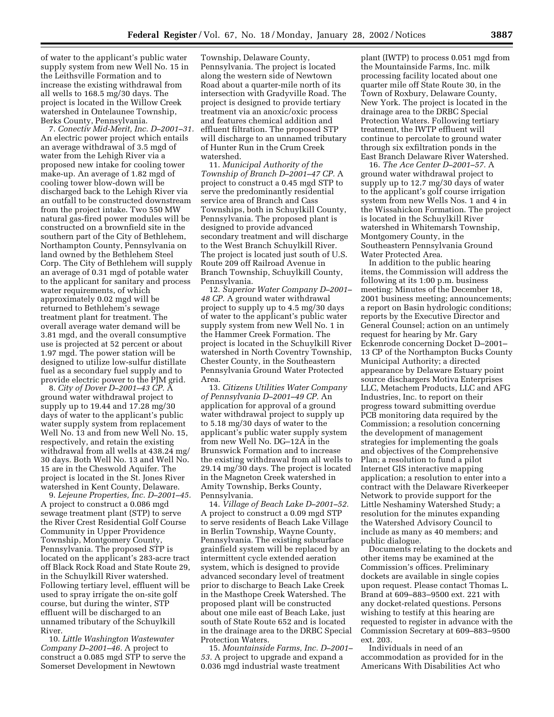of water to the applicant's public water supply system from new Well No. 15 in the Leithsville Formation and to increase the existing withdrawal from all wells to 168.5 mg/30 days. The project is located in the Willow Creek watershed in Ontelaunee Township, Berks County, Pennsylvania.

7. *Conectiv Mid-Merit, Inc. D–2001–31.* An electric power project which entails an average withdrawal of 3.5 mgd of water from the Lehigh River via a proposed new intake for cooling tower make-up. An average of 1.82 mgd of cooling tower blow-down will be discharged back to the Lehigh River via an outfall to be constructed downstream from the project intake. Two 550 MW natural gas-fired power modules will be constructed on a brownfield site in the southern part of the City of Bethlehem, Northampton County, Pennsylvania on land owned by the Bethlehem Steel Corp. The City of Bethlehem will supply an average of 0.31 mgd of potable water to the applicant for sanitary and process water requirements, of which approximately 0.02 mgd will be returned to Bethlehem's sewage treatment plant for treatment. The overall average water demand will be 3.81 mgd, and the overall consumptive use is projected at 52 percent or about 1.97 mgd. The power station will be designed to utilize low-sulfur distillate fuel as a secondary fuel supply and to provide electric power to the PJM grid.

8. *City of Dover D–2001–43 CP.* A ground water withdrawal project to supply up to 19.44 and 17.28 mg/30 days of water to the applicant's public water supply system from replacement Well No. 13 and from new Well No. 15, respectively, and retain the existing withdrawal from all wells at 438.24 mg/ 30 days. Both Well No. 13 and Well No. 15 are in the Cheswold Aquifer. The project is located in the St. Jones River watershed in Kent County, Delaware.

9. *Lejeune Properties, Inc. D–2001–45.* A project to construct a 0.086 mgd sewage treatment plant (STP) to serve the River Crest Residential Golf Course Community in Upper Providence Township, Montgomery County, Pennsylvania. The proposed STP is located on the applicant's 283-acre tract off Black Rock Road and State Route 29, in the Schuylkill River watershed. Following tertiary level, effluent will be used to spray irrigate the on-site golf course, but during the winter, STP effluent will be discharged to an unnamed tributary of the Schuylkill River.

10. *Little Washington Wastewater Company D–2001–46.* A project to construct a 0.085 mgd STP to serve the Somerset Development in Newtown

Township, Delaware County, Pennsylvania. The project is located along the western side of Newtown Road about a quarter-mile north of its intersection with Gradyville Road. The project is designed to provide tertiary treatment via an anoxic/oxic process and features chemical addition and effluent filtration. The proposed STP will discharge to an unnamed tributary of Hunter Run in the Crum Creek watershed.

11. *Municipal Authority of the Township of Branch D–2001–47 CP.* A project to construct a 0.45 mgd STP to serve the predominantly residential service area of Branch and Cass Townships, both in Schuylkill County, Pennsylvania. The proposed plant is designed to provide advanced secondary treatment and will discharge to the West Branch Schuylkill River. The project is located just south of U.S. Route 209 off Railroad Avenue in Branch Township, Schuylkill County, Pennsylvania.

12. *Superior Water Company D–2001– 48 CP.* A ground water withdrawal project to supply up to 4.5 mg/30 days of water to the applicant's public water supply system from new Well No. 1 in the Hammer Creek Formation. The project is located in the Schuylkill River watershed in North Coventry Township, Chester County, in the Southeastern Pennsylvania Ground Water Protected Area.

13. *Citizens Utilities Water Company of Pennsylvania D–2001–49 CP.* An application for approval of a ground water withdrawal project to supply up to 5.18 mg/30 days of water to the applicant's public water supply system from new Well No. DG–12A in the Brunswick Formation and to increase the existing withdrawal from all wells to 29.14 mg/30 days. The project is located in the Magneton Creek watershed in Amity Township, Berks County, Pennsylvania.

14. *Village of Beach Lake D–2001–52.* A project to construct a 0.09 mgd STP to serve residents of Beach Lake Village in Berlin Township, Wayne County, Pennsylvania. The existing subsurface grainfield system will be replaced by an intermittent cycle extended aeration system, which is designed to provide advanced secondary level of treatment prior to discharge to Beach Lake Creek in the Masthope Creek Watershed. The proposed plant will be constructed about one mile east of Beach Lake, just south of State Route 652 and is located in the drainage area to the DRBC Special Protection Waters.

15. *Mountainside Farms, Inc. D–2001– 53.* A project to upgrade and expand a 0.036 mgd industrial waste treatment

plant (IWTP) to process 0.051 mgd from the Mountainside Farms, Inc. milk processing facility located about one quarter mile off State Route 30, in the Town of Roxbury, Delaware County, New York. The project is located in the drainage area to the DRBC Special Protection Waters. Following tertiary treatment, the IWTP effluent will continue to percolate to ground water through six exfiltration ponds in the East Branch Delaware River Watershed.

16. *The Ace Center D–2001–57.* A ground water withdrawal project to supply up to 12.7 mg/30 days of water to the applicant's golf course irrigation system from new Wells Nos. 1 and 4 in the Wissahickon Formation. The project is located in the Schuylkill River watershed in Whitemarsh Township, Montgomery County, in the Southeastern Pennsylvania Ground Water Protected Area.

In addition to the public hearing items, the Commission will address the following at its 1:00 p.m. business meeting: Minutes of the December 18, 2001 business meeting; announcements; a report on Basin hydrologic conditions; reports by the Executive Director and General Counsel; action on an untimely request for hearing by Mr. Gary Eckenrode concerning Docket D–2001– 13 CP of the Northampton Bucks County Municipal Authority; a directed appearance by Delaware Estuary point source dischargers Motiva Enterprises LLC, Metachem Products, LLC and AFG Industries, Inc. to report on their progress toward submitting overdue PCB monitoring data required by the Commission; a resolution concerning the development of management strategies for implementing the goals and objectives of the Comprehensive Plan; a resolution to fund a pilot Internet GIS interactive mapping application; a resolution to enter into a contract with the Delaware Riverkeeper Network to provide support for the Little Neshaminy Watershed Study; a resolution for the minutes expanding the Watershed Advisory Council to include as many as 40 members; and public dialogue.

Documents relating to the dockets and other items may be examined at the Commission's offices. Preliminary dockets are available in single copies upon request. Please contact Thomas L. Brand at 609–883–9500 ext. 221 with any docket-related questions. Persons wishing to testify at this hearing are requested to register in advance with the Commission Secretary at 609–883–9500 ext. 203.

Individuals in need of an accommodation as provided for in the Americans With Disabilities Act who